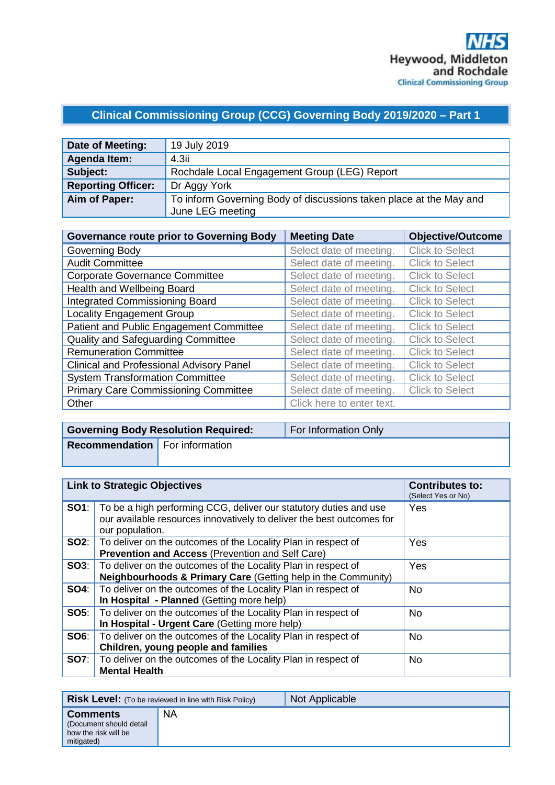# **Clinical Commissioning Group (CCG) Governing Body 2019/2020 – Part 1**

| Date of Meeting:          | 19 July 2019                                                       |
|---------------------------|--------------------------------------------------------------------|
| <b>Agenda Item:</b>       | 4.3i                                                               |
| Subject:                  | Rochdale Local Engagement Group (LEG) Report                       |
| <b>Reporting Officer:</b> | Dr Aggy York                                                       |
| Aim of Paper:             | To inform Governing Body of discussions taken place at the May and |
|                           | June LEG meeting                                                   |

| <b>Governance route prior to Governing Body</b> | <b>Meeting Date</b>       | <b>Objective/Outcome</b> |
|-------------------------------------------------|---------------------------|--------------------------|
| Governing Body                                  | Select date of meeting.   | <b>Click to Select</b>   |
| <b>Audit Committee</b>                          | Select date of meeting.   | <b>Click to Select</b>   |
| <b>Corporate Governance Committee</b>           | Select date of meeting.   | <b>Click to Select</b>   |
| Health and Wellbeing Board                      | Select date of meeting.   | <b>Click to Select</b>   |
| <b>Integrated Commissioning Board</b>           | Select date of meeting.   | <b>Click to Select</b>   |
| <b>Locality Engagement Group</b>                | Select date of meeting.   | <b>Click to Select</b>   |
| Patient and Public Engagement Committee         | Select date of meeting.   | <b>Click to Select</b>   |
| Quality and Safeguarding Committee              | Select date of meeting.   | <b>Click to Select</b>   |
| <b>Remuneration Committee</b>                   | Select date of meeting.   | <b>Click to Select</b>   |
| <b>Clinical and Professional Advisory Panel</b> | Select date of meeting.   | <b>Click to Select</b>   |
| <b>System Transformation Committee</b>          | Select date of meeting.   | <b>Click to Select</b>   |
| <b>Primary Care Commissioning Committee</b>     | Select date of meeting.   | <b>Click to Select</b>   |
| Other                                           | Click here to enter text. |                          |

|                                       | <b>Governing Body Resolution Required:</b> | For Information Only |
|---------------------------------------|--------------------------------------------|----------------------|
| <b>Recommendation</b> For information |                                            |                      |
|                                       |                                            |                      |

| <b>Link to Strategic Objectives</b> |                                                                                                                                                                            | <b>Contributes to:</b><br>(Select Yes or No) |
|-------------------------------------|----------------------------------------------------------------------------------------------------------------------------------------------------------------------------|----------------------------------------------|
|                                     | <b>SO1</b> : To be a high performing CCG, deliver our statutory duties and use<br>our available resources innovatively to deliver the best outcomes for<br>our population. | Yes                                          |
|                                     | <b>SO2:</b>   To deliver on the outcomes of the Locality Plan in respect of<br><b>Prevention and Access (Prevention and Self Care)</b>                                     | Yes                                          |
|                                     | <b>SO3:</b>   To deliver on the outcomes of the Locality Plan in respect of<br><b>Neighbourhoods &amp; Primary Care (Getting help in the Community)</b>                    | Yes                                          |
|                                     | <b>SO4</b> : To deliver on the outcomes of the Locality Plan in respect of<br>In Hospital - Planned (Getting more help)                                                    | No.                                          |
|                                     | <b>SO5:</b>   To deliver on the outcomes of the Locality Plan in respect of<br>In Hospital - Urgent Care (Getting more help)                                               | <b>No</b>                                    |
|                                     | <b>SO6:</b> To deliver on the outcomes of the Locality Plan in respect of<br>Children, young people and families                                                           | <b>No</b>                                    |
|                                     | <b>SO7:</b> To deliver on the outcomes of the Locality Plan in respect of<br><b>Mental Health</b>                                                                          | <b>No</b>                                    |

| <b>Risk Level:</b> (To be reviewed in line with Risk Policy)                     |           | Not Applicable |
|----------------------------------------------------------------------------------|-----------|----------------|
| <b>Comments</b><br>(Document should detail<br>how the risk will be<br>mitigated) | <b>NA</b> |                |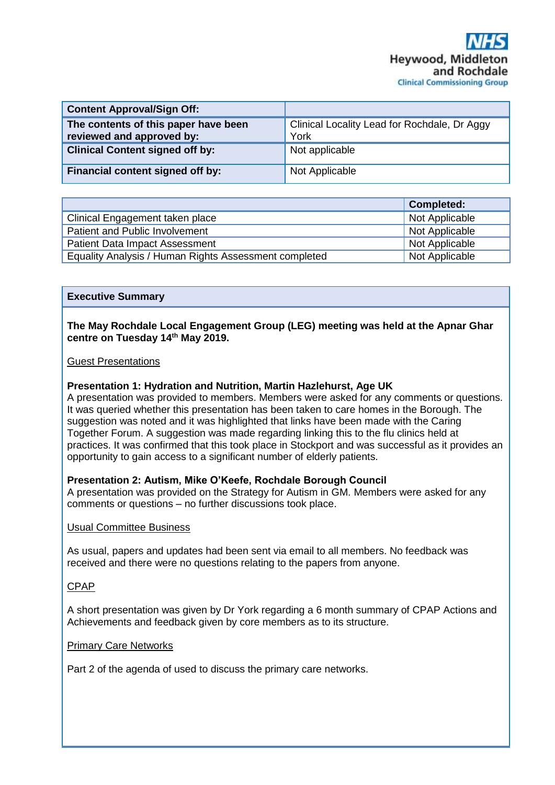| <b>Content Approval/Sign Off:</b>                                 |                                                      |
|-------------------------------------------------------------------|------------------------------------------------------|
| The contents of this paper have been<br>reviewed and approved by: | Clinical Locality Lead for Rochdale, Dr Aggy<br>York |
| <b>Clinical Content signed off by:</b>                            | Not applicable                                       |
| Financial content signed off by:                                  | Not Applicable                                       |

|                                                       | <b>Completed:</b> |
|-------------------------------------------------------|-------------------|
| Clinical Engagement taken place                       | Not Applicable    |
| Patient and Public Involvement                        | Not Applicable    |
| <b>Patient Data Impact Assessment</b>                 | Not Applicable    |
| Equality Analysis / Human Rights Assessment completed | Not Applicable    |

#### **Executive Summary**

#### **The May Rochdale Local Engagement Group (LEG) meeting was held at the Apnar Ghar centre on Tuesday 14th May 2019.**

#### Guest Presentations

## **Presentation 1: Hydration and Nutrition, Martin Hazlehurst, Age UK**

A presentation was provided to members. Members were asked for any comments or questions. It was queried whether this presentation has been taken to care homes in the Borough. The suggestion was noted and it was highlighted that links have been made with the Caring Together Forum. A suggestion was made regarding linking this to the flu clinics held at practices. It was confirmed that this took place in Stockport and was successful as it provides an opportunity to gain access to a significant number of elderly patients.

## **Presentation 2: Autism, Mike O'Keefe, Rochdale Borough Council**

A presentation was provided on the Strategy for Autism in GM. Members were asked for any comments or questions – no further discussions took place.

#### Usual Committee Business

As usual, papers and updates had been sent via email to all members. No feedback was received and there were no questions relating to the papers from anyone.

#### CPAP

A short presentation was given by Dr York regarding a 6 month summary of CPAP Actions and Achievements and feedback given by core members as to its structure.

#### Primary Care Networks

Part 2 of the agenda of used to discuss the primary care networks.